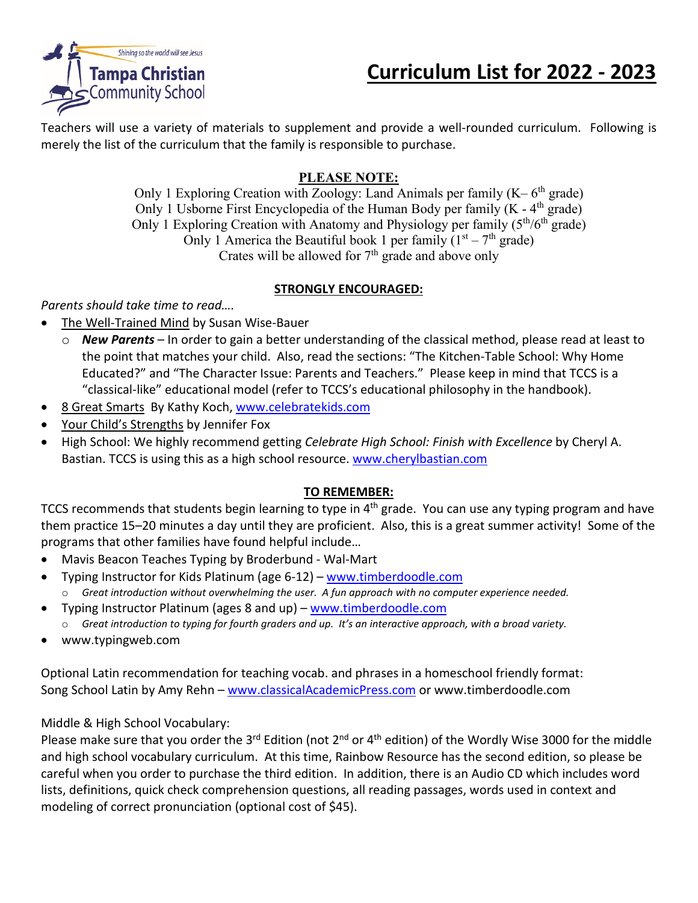

# **Curriculum List for 2022 - 2023**

Teachers will use a variety of materials to supplement and provide a well-rounded curriculum. Following is merely the list of the curriculum that the family is responsible to purchase.

#### **PLEASE NOTE:**

Only 1 Exploring Creation with Zoology: Land Animals per family  $(K - 6<sup>th</sup>$  grade) Only 1 Usborne First Encyclopedia of the Human Body per family  $(K - 4<sup>th</sup>$  grade) Only 1 Exploring Creation with Anatomy and Physiology per family  $(5<sup>th</sup>/6<sup>th</sup>$  grade) Only 1 America the Beautiful book 1 per family  $(1<sup>st</sup> - 7<sup>th</sup> \text{ grade})$ Crates will be allowed for  $7<sup>th</sup>$  grade and above only

#### **STRONGLY ENCOURAGED:**

*Parents should take time to read….*

- The Well-Trained Mind by Susan Wise-Bauer
	- o *New Parents* In order to gain a better understanding of the classical method, please read at least to the point that matches your child. Also, read the sections: "The Kitchen-Table School: Why Home Educated?" and "The Character Issue: Parents and Teachers." Please keep in mind that TCCS is a "classical-like" educational model (refer to TCCS's educational philosophy in the handbook).
- 8 Great Smarts By Kathy Koch, [www.celebratekids.com](http://www.celebratekids.com/)
- Your Child's Strengths by Jennifer Fox
- High School: We highly recommend getting *Celebrate High School: Finish with Excellence* by Cheryl A. Bastian. TCCS is using this as a high school resource. [www.cherylbastian.com](http://www.cherylbastian.com/)

#### **TO REMEMBER:**

TCCS recommends that students begin learning to type in 4<sup>th</sup> grade. You can use any typing program and have them practice 15–20 minutes a day until they are proficient. Also, this is a great summer activity! Some of the programs that other families have found helpful include…

- Mavis Beacon Teaches Typing by Broderbund Wal-Mart
- Typing Instructor for Kids Platinum (age 6-12) [www.timberdoodle.com](http://www.timberdoodle.com/)
- o *Great introduction without overwhelming the user. A fun approach with no computer experience needed.*
- Typing Instructor Platinum (ages 8 and up) [www.timberdoodle.com](http://www.timberdoodle.com/)
	- o *Great introduction to typing for fourth graders and up. It's an interactive approach, with a broad variety.*
- www.typingweb.com

Optional Latin recommendation for teaching vocab. and phrases in a homeschool friendly format: Song School Latin by Amy Rehn – [www.classicalAcademicPress.com](http://www.classicalacademicpress.com/) or www.timberdoodle.com

#### Middle & High School Vocabulary:

Please make sure that you order the 3<sup>rd</sup> Edition (not 2<sup>nd</sup> or 4<sup>th</sup> edition) of the Wordly Wise 3000 for the middle and high school vocabulary curriculum. At this time, Rainbow Resource has the second edition, so please be careful when you order to purchase the third edition. In addition, there is an Audio CD which includes word lists, definitions, quick check comprehension questions, all reading passages, words used in context and modeling of correct pronunciation (optional cost of \$45).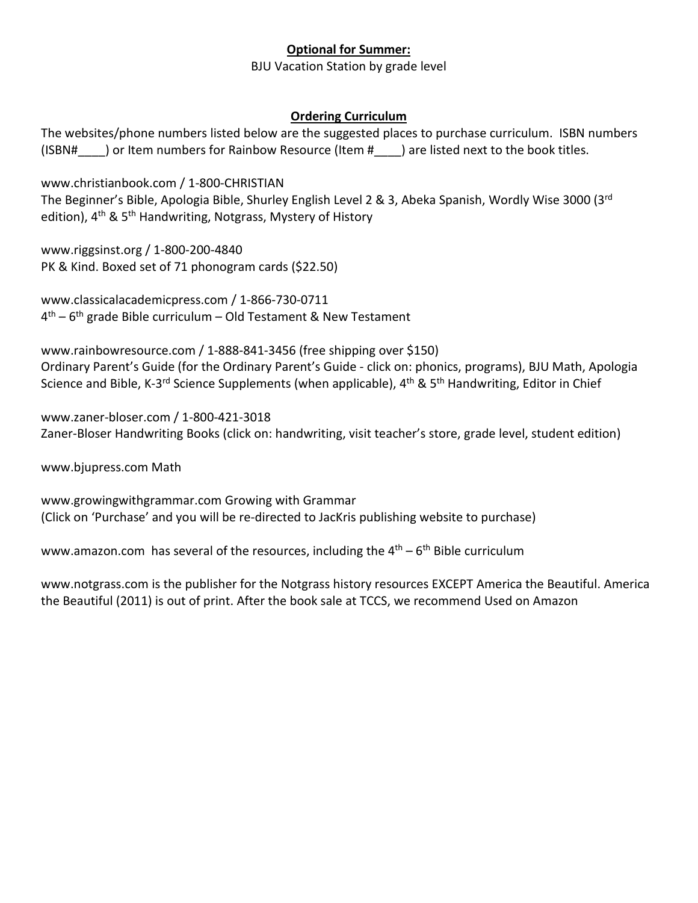#### **Optional for Summer:**

BJU Vacation Station by grade level

#### **Ordering Curriculum**

The websites/phone numbers listed below are the suggested places to purchase curriculum. ISBN numbers (ISBN#) or Item numbers for Rainbow Resource (Item #) are listed next to the book titles.

[www.christianbook.com](http://www.christianbook.com/) / 1-800-CHRISTIAN The Beginner's Bible, Apologia Bible, Shurley English Level 2 & 3, Abeka Spanish, Wordly Wise 3000 (3rd edition), 4<sup>th</sup> & 5<sup>th</sup> Handwriting, Notgrass, Mystery of History

[www.riggsinst.org](http://www.riggsinst.org/) / 1-800-200-4840 PK & Kind. Boxed set of 71 phonogram cards (\$22.50)

[www.classicalacademicpress.com](http://www.classicalacademicpress.com/) / 1-866-730-0711  $4<sup>th</sup> - 6<sup>th</sup>$  grade Bible curriculum – Old Testament & New Testament

[www.rainbowresource.com](http://www.rainbowresource.com/) / 1-888-841-3456 (free shipping over \$150) Ordinary Parent's Guide (for the Ordinary Parent's Guide - click on: phonics, programs), BJU Math, Apologia Science and Bible, K-3<sup>rd</sup> Science Supplements (when applicable), 4<sup>th</sup> & 5<sup>th</sup> Handwriting, Editor in Chief

[www.zaner-bloser.com](http://www.zaner-bloser.com/) / 1-800-421-3018 Zaner-Bloser Handwriting Books (click on: handwriting, visit teacher's store, grade level, student edition)

[www.bjupress.com](http://www.bjupress.com/) Math

[www.growingwithgrammar.com](http://www.growingwithgrammar.com/) Growing with Grammar (Click on 'Purchase' and you will be re-directed to JacKris publishing website to purchase)

[www.amazon.com](http://www.amazon.com/) has several of the resources, including the  $4<sup>th</sup> - 6<sup>th</sup>$  Bible curriculum

www.notgrass.com is the publisher for the Notgrass history resources EXCEPT America the Beautiful. America the Beautiful (2011) is out of print. After the book sale at TCCS, we recommend Used on Amazon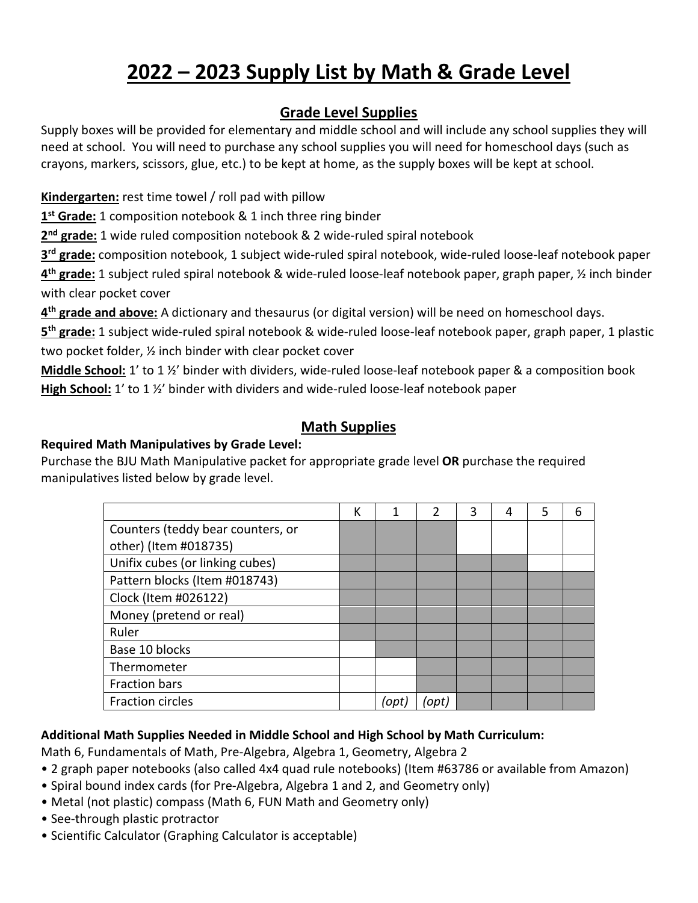# **2022 – 2023 Supply List by Math & Grade Level**

### **Grade Level Supplies**

Supply boxes will be provided for elementary and middle school and will include any school supplies they will need at school. You will need to purchase any school supplies you will need for homeschool days (such as crayons, markers, scissors, glue, etc.) to be kept at home, as the supply boxes will be kept at school.

#### **Kindergarten:** rest time towel / roll pad with pillow

**1st Grade:** 1 composition notebook & 1 inch three ring binder

**2nd grade:** 1 wide ruled composition notebook & 2 wide-ruled spiral notebook

**3rd grade:** composition notebook, 1 subject wide-ruled spiral notebook, wide-ruled loose-leaf notebook paper **4th grade:** 1 subject ruled spiral notebook & wide-ruled loose-leaf notebook paper, graph paper, ½ inch binder with clear pocket cover

**4th grade and above:** A dictionary and thesaurus (or digital version) will be need on homeschool days.

**5th grade:** 1 subject wide-ruled spiral notebook & wide-ruled loose-leaf notebook paper, graph paper, 1 plastic two pocket folder, ½ inch binder with clear pocket cover

**Middle School:** 1' to 1 ½' binder with dividers, wide-ruled loose-leaf notebook paper & a composition book **High School:** 1' to 1 ½' binder with dividers and wide-ruled loose-leaf notebook paper

### **Math Supplies**

#### **Required Math Manipulatives by Grade Level:**

Purchase the BJU Math Manipulative packet for appropriate grade level **OR** purchase the required manipulatives listed below by grade level.

|                                   | К | 1    | $\overline{2}$ | 3 | 4 | 5 | 6 |
|-----------------------------------|---|------|----------------|---|---|---|---|
| Counters (teddy bear counters, or |   |      |                |   |   |   |   |
| other) (Item #018735)             |   |      |                |   |   |   |   |
| Unifix cubes (or linking cubes)   |   |      |                |   |   |   |   |
| Pattern blocks (Item #018743)     |   |      |                |   |   |   |   |
| Clock (Item #026122)              |   |      |                |   |   |   |   |
| Money (pretend or real)           |   |      |                |   |   |   |   |
| Ruler                             |   |      |                |   |   |   |   |
| Base 10 blocks                    |   |      |                |   |   |   |   |
| Thermometer                       |   |      |                |   |   |   |   |
| Fraction bars                     |   |      |                |   |   |   |   |
| <b>Fraction circles</b>           |   | 'opt | (opt)          |   |   |   |   |

#### **Additional Math Supplies Needed in Middle School and High School by Math Curriculum:**

Math 6, Fundamentals of Math, Pre-Algebra, Algebra 1, Geometry, Algebra 2

- 2 graph paper notebooks (also called 4x4 quad rule notebooks) (Item #63786 or available from Amazon)
- Spiral bound index cards (for Pre-Algebra, Algebra 1 and 2, and Geometry only)
- Metal (not plastic) compass (Math 6, FUN Math and Geometry only)
- See-through plastic protractor
- Scientific Calculator (Graphing Calculator is acceptable)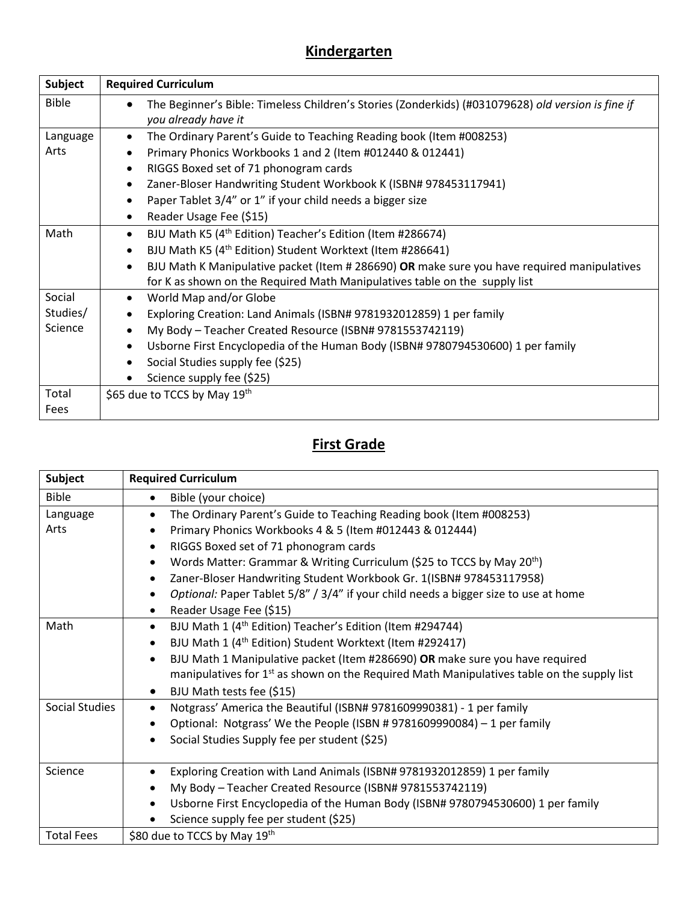# **Kindergarten**

| <b>Subject</b> | <b>Required Curriculum</b>                                                                                                |
|----------------|---------------------------------------------------------------------------------------------------------------------------|
| <b>Bible</b>   | The Beginner's Bible: Timeless Children's Stories (Zonderkids) (#031079628) old version is fine if<br>you already have it |
| Language       | The Ordinary Parent's Guide to Teaching Reading book (Item #008253)                                                       |
| Arts           | Primary Phonics Workbooks 1 and 2 (Item #012440 & 012441)                                                                 |
|                | RIGGS Boxed set of 71 phonogram cards                                                                                     |
|                | Zaner-Bloser Handwriting Student Workbook K (ISBN# 978453117941)<br>$\bullet$                                             |
|                | Paper Tablet 3/4" or 1" if your child needs a bigger size                                                                 |
|                | Reader Usage Fee (\$15)                                                                                                   |
| Math           | BJU Math K5 (4 <sup>th</sup> Edition) Teacher's Edition (Item #286674)<br>$\bullet$                                       |
|                | BJU Math K5 (4 <sup>th</sup> Edition) Student Worktext (Item #286641)                                                     |
|                | BJU Math K Manipulative packet (Item # 286690) OR make sure you have required manipulatives<br>$\bullet$                  |
|                | for K as shown on the Required Math Manipulatives table on the supply list                                                |
| Social         | World Map and/or Globe<br>$\bullet$                                                                                       |
| Studies/       | Exploring Creation: Land Animals (ISBN# 9781932012859) 1 per family                                                       |
| Science        | My Body - Teacher Created Resource (ISBN# 9781553742119)                                                                  |
|                | Usborne First Encyclopedia of the Human Body (ISBN# 9780794530600) 1 per family                                           |
|                | Social Studies supply fee (\$25)                                                                                          |
|                | Science supply fee (\$25)                                                                                                 |
| Total          | \$65 due to TCCS by May 19th                                                                                              |
| Fees           |                                                                                                                           |

# **First Grade**

| <b>Subject</b>    | <b>Required Curriculum</b>                                                                   |
|-------------------|----------------------------------------------------------------------------------------------|
| <b>Bible</b>      | Bible (your choice)                                                                          |
| Language          | The Ordinary Parent's Guide to Teaching Reading book (Item #008253)                          |
| Arts              | Primary Phonics Workbooks 4 & 5 (Item #012443 & 012444)                                      |
|                   | RIGGS Boxed set of 71 phonogram cards                                                        |
|                   | Words Matter: Grammar & Writing Curriculum (\$25 to TCCS by May 20 <sup>th</sup> )           |
|                   | Zaner-Bloser Handwriting Student Workbook Gr. 1(ISBN# 978453117958)                          |
|                   | Optional: Paper Tablet 5/8" / 3/4" if your child needs a bigger size to use at home          |
|                   | Reader Usage Fee (\$15)                                                                      |
| Math              | BJU Math 1 (4 <sup>th</sup> Edition) Teacher's Edition (Item #294744)                        |
|                   | BJU Math 1 (4 <sup>th</sup> Edition) Student Worktext (Item #292417)                         |
|                   | BJU Math 1 Manipulative packet (Item #286690) OR make sure you have required                 |
|                   | manipulatives for $1st$ as shown on the Required Math Manipulatives table on the supply list |
|                   | BJU Math tests fee (\$15)                                                                    |
| Social Studies    | Notgrass' America the Beautiful (ISBN# 9781609990381) - 1 per family                         |
|                   | Optional: Notgrass' We the People (ISBN # 9781609990084) - 1 per family                      |
|                   | Social Studies Supply fee per student (\$25)                                                 |
|                   |                                                                                              |
| Science           | Exploring Creation with Land Animals (ISBN# 9781932012859) 1 per family                      |
|                   | My Body - Teacher Created Resource (ISBN# 9781553742119)                                     |
|                   | Usborne First Encyclopedia of the Human Body (ISBN# 9780794530600) 1 per family              |
|                   | Science supply fee per student (\$25)                                                        |
| <b>Total Fees</b> | \$80 due to TCCS by May 19th                                                                 |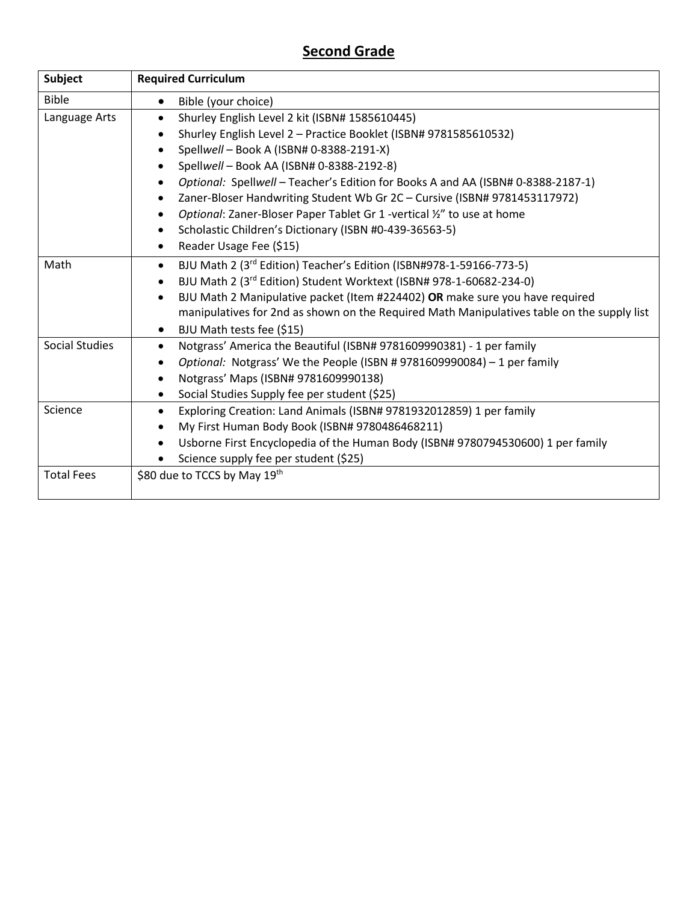### **Second Grade**

| <b>Subject</b>    | <b>Required Curriculum</b>                                                                 |
|-------------------|--------------------------------------------------------------------------------------------|
| <b>Bible</b>      | Bible (your choice)<br>٠                                                                   |
| Language Arts     | Shurley English Level 2 kit (ISBN# 1585610445)                                             |
|                   | Shurley English Level 2 - Practice Booklet (ISBN# 9781585610532)                           |
|                   | Spellwell - Book A (ISBN# 0-8388-2191-X)                                                   |
|                   | Spellwell - Book AA (ISBN# 0-8388-2192-8)<br>٠                                             |
|                   | Optional: Spellwell - Teacher's Edition for Books A and AA (ISBN# 0-8388-2187-1)<br>٠      |
|                   | Zaner-Bloser Handwriting Student Wb Gr 2C - Cursive (ISBN# 9781453117972)                  |
|                   | Optional: Zaner-Bloser Paper Tablet Gr 1 -vertical 1/2" to use at home                     |
|                   | Scholastic Children's Dictionary (ISBN #0-439-36563-5)                                     |
|                   | Reader Usage Fee (\$15)<br>$\bullet$                                                       |
| Math              | BJU Math 2 (3rd Edition) Teacher's Edition (ISBN#978-1-59166-773-5)<br>$\bullet$           |
|                   | BJU Math 2 (3rd Edition) Student Worktext (ISBN# 978-1-60682-234-0)                        |
|                   | BJU Math 2 Manipulative packet (Item #224402) OR make sure you have required<br>$\bullet$  |
|                   | manipulatives for 2nd as shown on the Required Math Manipulatives table on the supply list |
|                   | BJU Math tests fee (\$15)                                                                  |
| Social Studies    | Notgrass' America the Beautiful (ISBN# 9781609990381) - 1 per family                       |
|                   | Optional: Notgrass' We the People (ISBN # 9781609990084) - 1 per family<br>٠               |
|                   | Notgrass' Maps (ISBN# 9781609990138)<br>٠                                                  |
|                   | Social Studies Supply fee per student (\$25)<br>$\bullet$                                  |
| Science           | Exploring Creation: Land Animals (ISBN# 9781932012859) 1 per family                        |
|                   | My First Human Body Book (ISBN# 9780486468211)                                             |
|                   | Usborne First Encyclopedia of the Human Body (ISBN# 9780794530600) 1 per family            |
|                   | Science supply fee per student (\$25)                                                      |
| <b>Total Fees</b> | \$80 due to TCCS by May 19th                                                               |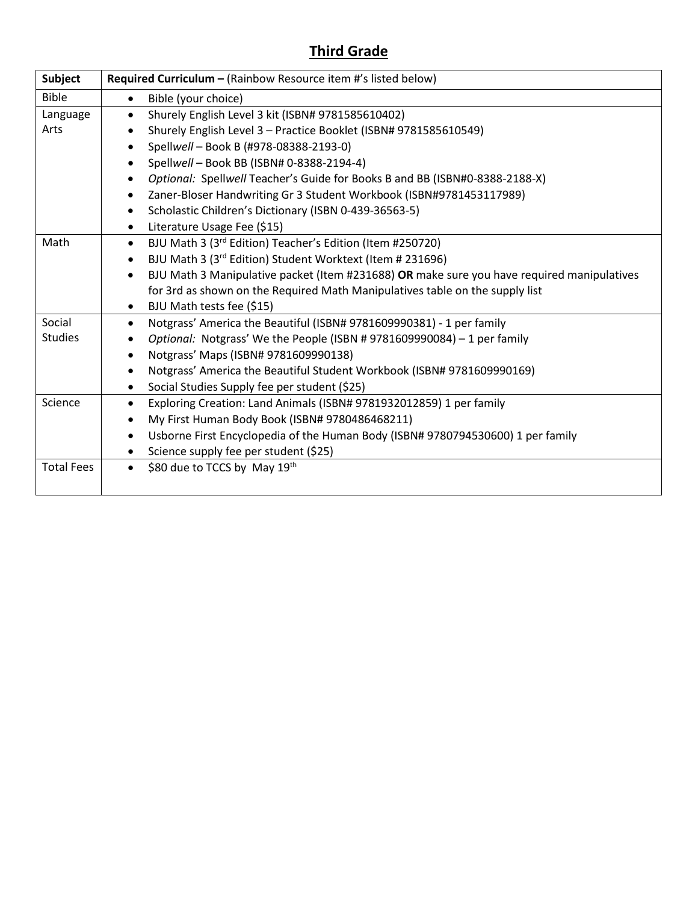## **Third Grade**

| <b>Subject</b>    | Required Curriculum - (Rainbow Resource item #'s listed below)                                          |
|-------------------|---------------------------------------------------------------------------------------------------------|
| <b>Bible</b>      | Bible (your choice)<br>$\bullet$                                                                        |
| Language          | Shurely English Level 3 kit (ISBN# 9781585610402)<br>$\bullet$                                          |
| Arts              | Shurely English Level 3 - Practice Booklet (ISBN# 9781585610549)<br>$\bullet$                           |
|                   | Spellwell - Book B (#978-08388-2193-0)                                                                  |
|                   | Spellwell - Book BB (ISBN# 0-8388-2194-4)<br>$\bullet$                                                  |
|                   | Optional: Spellwell Teacher's Guide for Books B and BB (ISBN#0-8388-2188-X)<br>$\bullet$                |
|                   | Zaner-Bloser Handwriting Gr 3 Student Workbook (ISBN#9781453117989)                                     |
|                   | Scholastic Children's Dictionary (ISBN 0-439-36563-5)<br>٠                                              |
|                   | Literature Usage Fee (\$15)<br>$\bullet$                                                                |
| Math              | BJU Math 3 (3rd Edition) Teacher's Edition (Item #250720)<br>$\bullet$                                  |
|                   | BJU Math 3 (3rd Edition) Student Worktext (Item # 231696)<br>$\bullet$                                  |
|                   | BJU Math 3 Manipulative packet (Item #231688) OR make sure you have required manipulatives<br>$\bullet$ |
|                   | for 3rd as shown on the Required Math Manipulatives table on the supply list                            |
|                   | BJU Math tests fee (\$15)<br>٠                                                                          |
| Social            | Notgrass' America the Beautiful (ISBN# 9781609990381) - 1 per family<br>$\bullet$                       |
| <b>Studies</b>    | Optional: Notgrass' We the People (ISBN # 9781609990084) - 1 per family<br>$\bullet$                    |
|                   | Notgrass' Maps (ISBN# 9781609990138)<br>$\bullet$                                                       |
|                   | Notgrass' America the Beautiful Student Workbook (ISBN# 9781609990169)                                  |
|                   | Social Studies Supply fee per student (\$25)                                                            |
| Science           | Exploring Creation: Land Animals (ISBN# 9781932012859) 1 per family<br>$\bullet$                        |
|                   | My First Human Body Book (ISBN# 9780486468211)<br>$\bullet$                                             |
|                   | Usborne First Encyclopedia of the Human Body (ISBN# 9780794530600) 1 per family<br>$\bullet$            |
|                   | Science supply fee per student (\$25)                                                                   |
| <b>Total Fees</b> | \$80 due to TCCS by May 19th                                                                            |
|                   |                                                                                                         |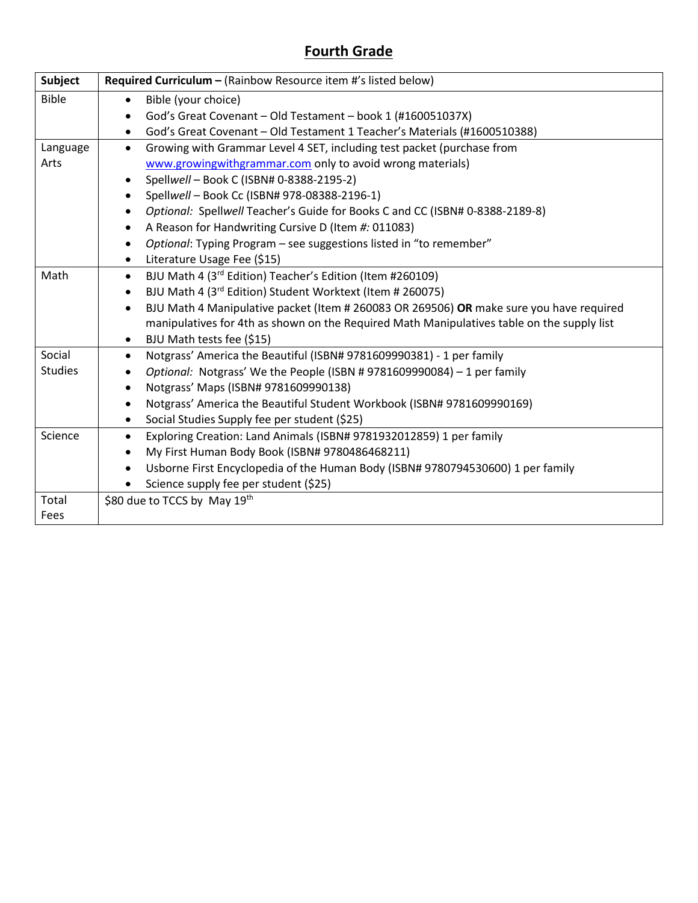## **Fourth Grade**

| <b>Subject</b> | Required Curriculum - (Rainbow Resource item #'s listed below)                                       |
|----------------|------------------------------------------------------------------------------------------------------|
| <b>Bible</b>   | Bible (your choice)<br>$\bullet$                                                                     |
|                | God's Great Covenant - Old Testament - book 1 (#160051037X)<br>$\bullet$                             |
|                | God's Great Covenant - Old Testament 1 Teacher's Materials (#1600510388)<br>٠                        |
| Language       | Growing with Grammar Level 4 SET, including test packet (purchase from<br>$\bullet$                  |
| Arts           | www.growingwithgrammar.com only to avoid wrong materials)                                            |
|                | Spellwell - Book C (ISBN# 0-8388-2195-2)<br>$\bullet$                                                |
|                | Spellwell - Book Cc (ISBN# 978-08388-2196-1)<br>$\bullet$                                            |
|                | Optional: Spellwell Teacher's Guide for Books C and CC (ISBN# 0-8388-2189-8)<br>$\bullet$            |
|                | A Reason for Handwriting Cursive D (Item #: 011083)<br>٠                                             |
|                | Optional: Typing Program - see suggestions listed in "to remember"<br>$\bullet$                      |
|                | Literature Usage Fee (\$15)<br>$\bullet$                                                             |
| Math           | BJU Math 4 (3rd Edition) Teacher's Edition (Item #260109)<br>$\bullet$                               |
|                | BJU Math 4 (3rd Edition) Student Worktext (Item # 260075)<br>$\bullet$                               |
|                | BJU Math 4 Manipulative packet (Item # 260083 OR 269506) OR make sure you have required<br>$\bullet$ |
|                | manipulatives for 4th as shown on the Required Math Manipulatives table on the supply list           |
|                | BJU Math tests fee (\$15)<br>٠                                                                       |
| Social         | Notgrass' America the Beautiful (ISBN# 9781609990381) - 1 per family<br>$\bullet$                    |
| <b>Studies</b> | Optional: Notgrass' We the People (ISBN #9781609990084) - 1 per family<br>$\bullet$                  |
|                | Notgrass' Maps (ISBN# 9781609990138)<br>$\bullet$                                                    |
|                | Notgrass' America the Beautiful Student Workbook (ISBN# 9781609990169)<br>$\bullet$                  |
|                | Social Studies Supply fee per student (\$25)<br>٠                                                    |
| Science        | Exploring Creation: Land Animals (ISBN# 9781932012859) 1 per family<br>$\bullet$                     |
|                | My First Human Body Book (ISBN# 9780486468211)<br>$\bullet$                                          |
|                | Usborne First Encyclopedia of the Human Body (ISBN# 9780794530600) 1 per family<br>٠                 |
|                | Science supply fee per student (\$25)                                                                |
| Total          | \$80 due to TCCS by May 19th                                                                         |
| Fees           |                                                                                                      |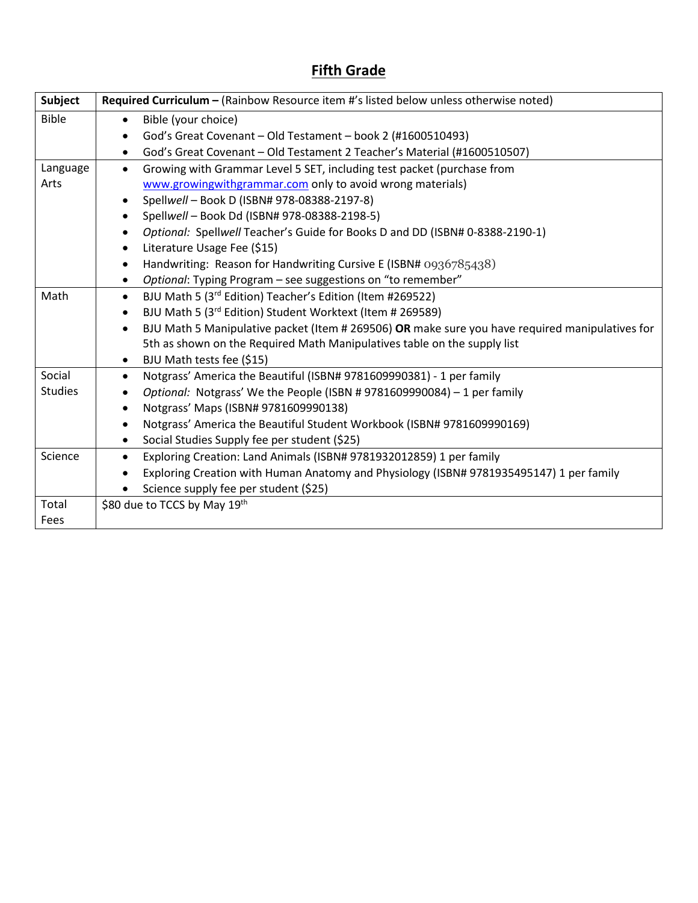## **Fifth Grade**

| <b>Subject</b> | Required Curriculum - (Rainbow Resource item #'s listed below unless otherwise noted)                        |
|----------------|--------------------------------------------------------------------------------------------------------------|
| <b>Bible</b>   | Bible (your choice)                                                                                          |
|                | God's Great Covenant - Old Testament - book 2 (#1600510493)                                                  |
|                | God's Great Covenant - Old Testament 2 Teacher's Material (#1600510507)<br>$\bullet$                         |
| Language       | Growing with Grammar Level 5 SET, including test packet (purchase from<br>$\bullet$                          |
| Arts           | www.growingwithgrammar.com only to avoid wrong materials)                                                    |
|                | Spellwell - Book D (ISBN# 978-08388-2197-8)                                                                  |
|                | Spellwell - Book Dd (ISBN# 978-08388-2198-5)                                                                 |
|                | Optional: Spellwell Teacher's Guide for Books D and DD (ISBN# 0-8388-2190-1)                                 |
|                | Literature Usage Fee (\$15)<br>$\bullet$                                                                     |
|                | Handwriting: Reason for Handwriting Cursive E (ISBN# 0936785438)<br>$\bullet$                                |
|                | Optional: Typing Program - see suggestions on "to remember"                                                  |
| Math           | BJU Math 5 (3 <sup>rd</sup> Edition) Teacher's Edition (Item #269522)<br>$\bullet$                           |
|                | BJU Math 5 (3rd Edition) Student Worktext (Item # 269589)                                                    |
|                | BJU Math 5 Manipulative packet (Item # 269506) OR make sure you have required manipulatives for<br>$\bullet$ |
|                | 5th as shown on the Required Math Manipulatives table on the supply list                                     |
|                | BJU Math tests fee (\$15)<br>$\bullet$                                                                       |
| Social         | Notgrass' America the Beautiful (ISBN# 9781609990381) - 1 per family<br>$\bullet$                            |
| <b>Studies</b> | Optional: Notgrass' We the People (ISBN # 9781609990084) - 1 per family                                      |
|                | Notgrass' Maps (ISBN# 9781609990138)                                                                         |
|                | Notgrass' America the Beautiful Student Workbook (ISBN# 9781609990169)                                       |
|                | Social Studies Supply fee per student (\$25)<br>$\bullet$                                                    |
| Science        | Exploring Creation: Land Animals (ISBN# 9781932012859) 1 per family                                          |
|                | Exploring Creation with Human Anatomy and Physiology (ISBN# 9781935495147) 1 per family                      |
|                | Science supply fee per student (\$25)                                                                        |
| Total          | \$80 due to TCCS by May 19th                                                                                 |
| Fees           |                                                                                                              |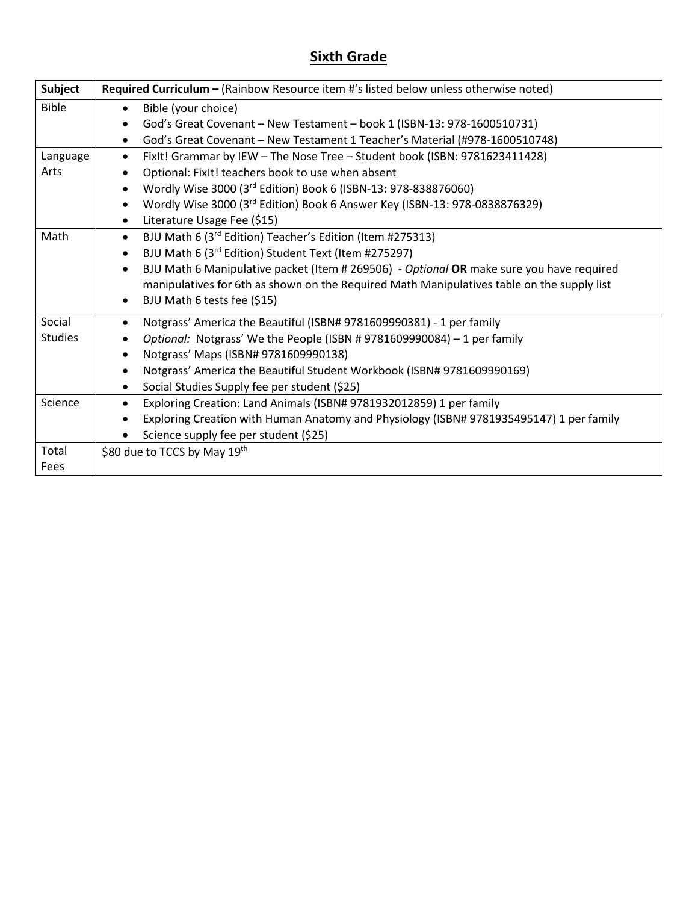# **Sixth Grade**

| Subject        | Required Curriculum - (Rainbow Resource item #'s listed below unless otherwise noted)                 |
|----------------|-------------------------------------------------------------------------------------------------------|
| <b>Bible</b>   | Bible (your choice)<br>$\bullet$                                                                      |
|                | God's Great Covenant - New Testament - book 1 (ISBN-13: 978-1600510731)<br>$\bullet$                  |
|                | God's Great Covenant - New Testament 1 Teacher's Material (#978-1600510748)<br>$\bullet$              |
| Language       | FixIt! Grammar by IEW - The Nose Tree - Student book (ISBN: 9781623411428)<br>$\bullet$               |
| Arts           | Optional: FixIt! teachers book to use when absent                                                     |
|                | Wordly Wise 3000 (3rd Edition) Book 6 (ISBN-13: 978-838876060)                                        |
|                | Wordly Wise 3000 (3rd Edition) Book 6 Answer Key (ISBN-13: 978-0838876329)<br>$\bullet$               |
|                | Literature Usage Fee (\$15)<br>$\bullet$                                                              |
| Math           | BJU Math 6 (3rd Edition) Teacher's Edition (Item #275313)<br>$\bullet$                                |
|                | BJU Math 6 (3rd Edition) Student Text (Item #275297)                                                  |
|                | BJU Math 6 Manipulative packet (Item # 269506) - Optional OR make sure you have required<br>$\bullet$ |
|                | manipulatives for 6th as shown on the Required Math Manipulatives table on the supply list            |
|                | BJU Math 6 tests fee (\$15)<br>$\bullet$                                                              |
| Social         | Notgrass' America the Beautiful (ISBN# 9781609990381) - 1 per family                                  |
| <b>Studies</b> | Optional: Notgrass' We the People (ISBN # 9781609990084) - 1 per family                               |
|                | Notgrass' Maps (ISBN# 9781609990138)                                                                  |
|                | Notgrass' America the Beautiful Student Workbook (ISBN# 9781609990169)<br>٠                           |
|                | Social Studies Supply fee per student (\$25)<br>$\bullet$                                             |
| Science        | Exploring Creation: Land Animals (ISBN# 9781932012859) 1 per family                                   |
|                | Exploring Creation with Human Anatomy and Physiology (ISBN# 9781935495147) 1 per family               |
|                | Science supply fee per student (\$25)                                                                 |
| Total          | \$80 due to TCCS by May 19th                                                                          |
| Fees           |                                                                                                       |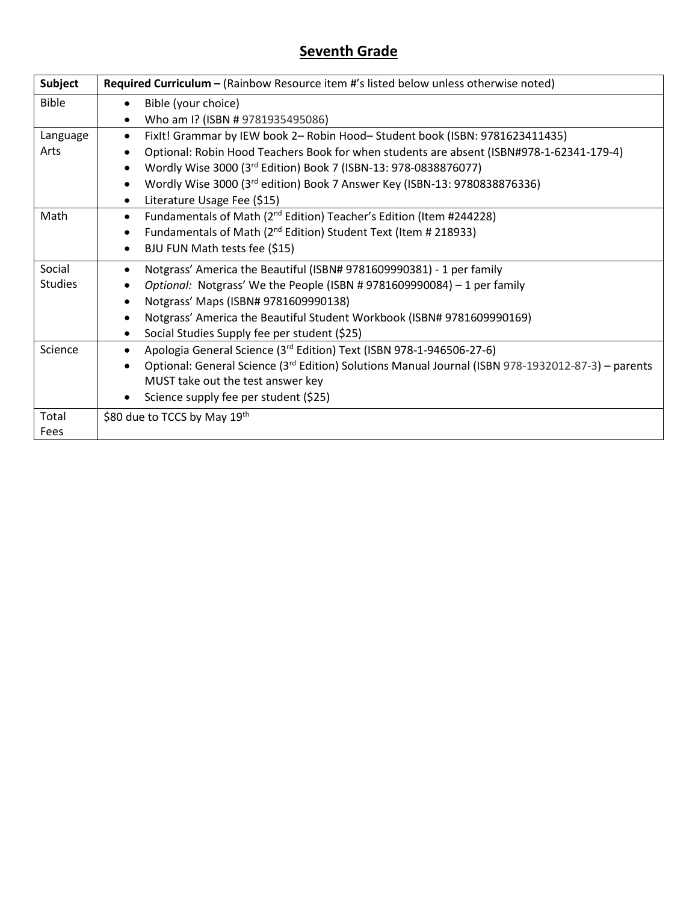### **Seventh Grade**

| Subject        | Required Curriculum - (Rainbow Resource item #'s listed below unless otherwise noted)              |
|----------------|----------------------------------------------------------------------------------------------------|
| <b>Bible</b>   | Bible (your choice)                                                                                |
|                | Who am I? (ISBN # 9781935495086)                                                                   |
| Language       | FixIt! Grammar by IEW book 2- Robin Hood-Student book (ISBN: 9781623411435)<br>$\bullet$           |
| Arts           | Optional: Robin Hood Teachers Book for when students are absent (ISBN#978-1-62341-179-4)           |
|                | Wordly Wise 3000 (3rd Edition) Book 7 (ISBN-13: 978-0838876077)                                    |
|                | Wordly Wise 3000 (3rd edition) Book 7 Answer Key (ISBN-13: 9780838876336)<br>$\bullet$             |
|                | Literature Usage Fee (\$15)<br>$\bullet$                                                           |
| Math           | Fundamentals of Math (2 <sup>nd</sup> Edition) Teacher's Edition (Item #244228)<br>$\bullet$       |
|                | Fundamentals of Math (2 <sup>nd</sup> Edition) Student Text (Item # 218933)<br>$\bullet$           |
|                | BJU FUN Math tests fee (\$15)<br>$\bullet$                                                         |
| Social         | Notgrass' America the Beautiful (ISBN# 9781609990381) - 1 per family                               |
| <b>Studies</b> | Optional: Notgrass' We the People (ISBN # 9781609990084) - 1 per family                            |
|                | Notgrass' Maps (ISBN# 9781609990138)<br>$\bullet$                                                  |
|                | Notgrass' America the Beautiful Student Workbook (ISBN# 9781609990169)                             |
|                | Social Studies Supply fee per student (\$25)                                                       |
| Science        | Apologia General Science (3rd Edition) Text (ISBN 978-1-946506-27-6)<br>$\bullet$                  |
|                | Optional: General Science (3rd Edition) Solutions Manual Journal (ISBN 978-1932012-87-3) – parents |
|                | MUST take out the test answer key                                                                  |
|                | Science supply fee per student (\$25)                                                              |
| Total          | \$80 due to TCCS by May 19th                                                                       |
| Fees           |                                                                                                    |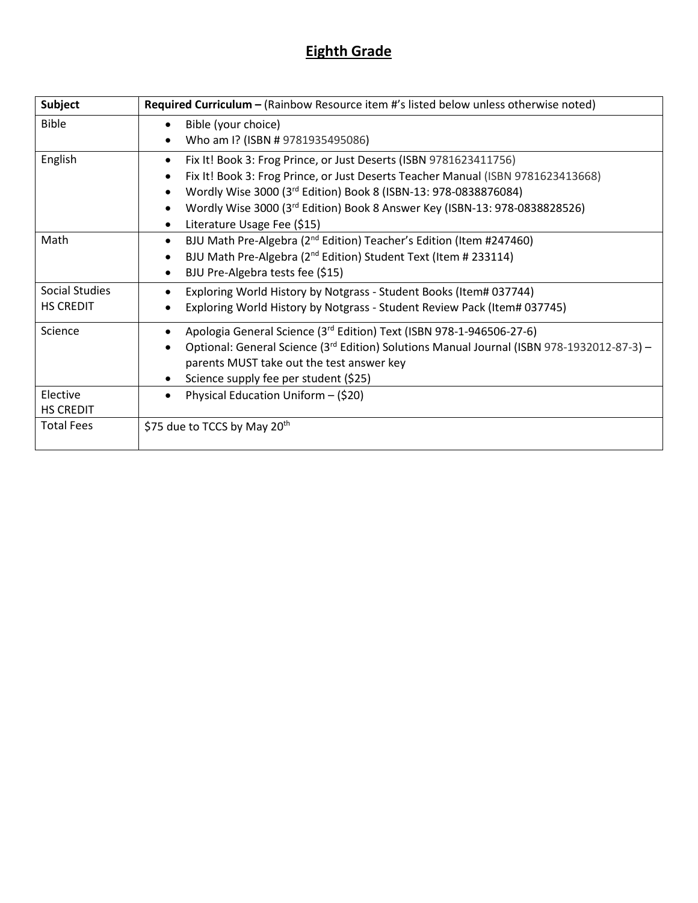### **Eighth Grade**

| <b>Subject</b>        | Required Curriculum - (Rainbow Resource item #'s listed below unless otherwise noted)                  |
|-----------------------|--------------------------------------------------------------------------------------------------------|
| <b>Bible</b>          | Bible (your choice)                                                                                    |
|                       | Who am I? (ISBN # 9781935495086)                                                                       |
| English               | Fix It! Book 3: Frog Prince, or Just Deserts (ISBN 9781623411756)                                      |
|                       | Fix It! Book 3: Frog Prince, or Just Deserts Teacher Manual (ISBN 9781623413668)                       |
|                       | Wordly Wise 3000 (3rd Edition) Book 8 (ISBN-13: 978-0838876084)                                        |
|                       | Wordly Wise 3000 (3rd Edition) Book 8 Answer Key (ISBN-13: 978-0838828526)                             |
|                       | Literature Usage Fee (\$15)                                                                            |
| Math                  | BJU Math Pre-Algebra (2 <sup>nd</sup> Edition) Teacher's Edition (Item #247460)<br>$\bullet$           |
|                       | BJU Math Pre-Algebra (2 <sup>nd</sup> Edition) Student Text (Item # 233114)                            |
|                       | BJU Pre-Algebra tests fee (\$15)                                                                       |
| <b>Social Studies</b> | Exploring World History by Notgrass - Student Books (Item# 037744)                                     |
| <b>HS CREDIT</b>      | Exploring World History by Notgrass - Student Review Pack (Item# 037745)                               |
| Science               | Apologia General Science (3rd Edition) Text (ISBN 978-1-946506-27-6)                                   |
|                       | Optional: General Science (3 <sup>rd</sup> Edition) Solutions Manual Journal (ISBN 978-1932012-87-3) - |
|                       | parents MUST take out the test answer key                                                              |
|                       | Science supply fee per student (\$25)                                                                  |
| Elective              | Physical Education Uniform - (\$20)                                                                    |
| <b>HS CREDIT</b>      |                                                                                                        |
| <b>Total Fees</b>     | \$75 due to TCCS by May 20 <sup>th</sup>                                                               |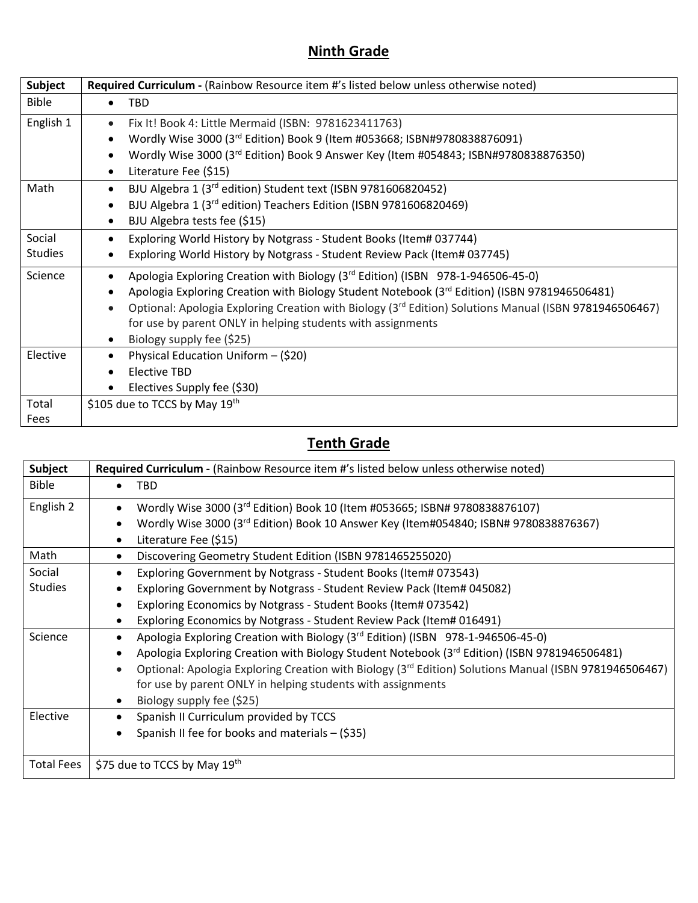## **Ninth Grade**

| Subject        | Required Curriculum - (Rainbow Resource item #'s listed below unless otherwise noted)                               |
|----------------|---------------------------------------------------------------------------------------------------------------------|
| <b>Bible</b>   | <b>TBD</b><br>$\bullet$                                                                                             |
| English 1      | Fix It! Book 4: Little Mermaid (ISBN: 9781623411763)<br>$\bullet$                                                   |
|                | Wordly Wise 3000 (3rd Edition) Book 9 (Item #053668; ISBN#9780838876091)<br>$\bullet$                               |
|                | Wordly Wise 3000 (3rd Edition) Book 9 Answer Key (Item #054843; ISBN#9780838876350)<br>$\bullet$                    |
|                | Literature Fee (\$15)<br>$\bullet$                                                                                  |
| Math           | BJU Algebra 1 (3rd edition) Student text (ISBN 9781606820452)<br>$\bullet$                                          |
|                | BJU Algebra 1 (3rd edition) Teachers Edition (ISBN 9781606820469)<br>$\bullet$                                      |
|                | BJU Algebra tests fee (\$15)<br>$\bullet$                                                                           |
| Social         | Exploring World History by Notgrass - Student Books (Item# 037744)<br>$\bullet$                                     |
| <b>Studies</b> | Exploring World History by Notgrass - Student Review Pack (Item# 037745)                                            |
| Science        | Apologia Exploring Creation with Biology (3rd Edition) (ISBN 978-1-946506-45-0)<br>$\bullet$                        |
|                | Apologia Exploring Creation with Biology Student Notebook (3rd Edition) (ISBN 9781946506481)<br>$\bullet$           |
|                | Optional: Apologia Exploring Creation with Biology (3rd Edition) Solutions Manual (ISBN 9781946506467)<br>$\bullet$ |
|                | for use by parent ONLY in helping students with assignments                                                         |
|                | Biology supply fee (\$25)<br>$\bullet$                                                                              |
| Elective       | Physical Education Uniform - (\$20)<br>$\bullet$                                                                    |
|                | Elective TBD<br>$\bullet$                                                                                           |
|                | Electives Supply fee (\$30)                                                                                         |
| Total          | \$105 due to TCCS by May 19th                                                                                       |
| Fees           |                                                                                                                     |

## **Tenth Grade**

| <b>Subject</b>    | Required Curriculum - (Rainbow Resource item #'s listed below unless otherwise noted)                              |
|-------------------|--------------------------------------------------------------------------------------------------------------------|
| <b>Bible</b>      | <b>TBD</b>                                                                                                         |
| English 2         | Wordly Wise 3000 (3rd Edition) Book 10 (Item #053665; ISBN# 9780838876107)                                         |
|                   | Wordly Wise 3000 (3rd Edition) Book 10 Answer Key (Item#054840; ISBN# 9780838876367)                               |
|                   | Literature Fee (\$15)                                                                                              |
| Math              | Discovering Geometry Student Edition (ISBN 9781465255020)<br>٠                                                     |
| Social            | Exploring Government by Notgrass - Student Books (Item# 073543)                                                    |
| <b>Studies</b>    | Exploring Government by Notgrass - Student Review Pack (Item# 045082)                                              |
|                   | Exploring Economics by Notgrass - Student Books (Item# 073542)                                                     |
|                   | Exploring Economics by Notgrass - Student Review Pack (Item# 016491)                                               |
| Science           | Apologia Exploring Creation with Biology (3 <sup>rd</sup> Edition) (ISBN 978-1-946506-45-0)                        |
|                   | Apologia Exploring Creation with Biology Student Notebook (3rd Edition) (ISBN 9781946506481)                       |
|                   | Optional: Apologia Exploring Creation with Biology (3 <sup>rd</sup> Edition) Solutions Manual (ISBN 9781946506467) |
|                   | for use by parent ONLY in helping students with assignments                                                        |
|                   | Biology supply fee (\$25)                                                                                          |
| Elective          | Spanish II Curriculum provided by TCCS                                                                             |
|                   | Spanish II fee for books and materials - (\$35)                                                                    |
|                   |                                                                                                                    |
| <b>Total Fees</b> | \$75 due to TCCS by May 19th                                                                                       |